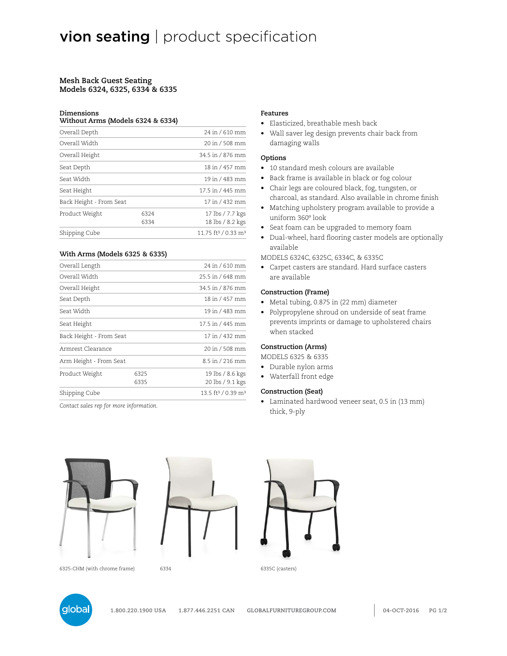#### **Mesh Back Guest Seating Models 6324, 6325, 6334 & 6335**

#### **Dimensions**

#### **Without Arms (Models 6324 & 6334)**

| Overall Depth           |      | 24 in / 610 mm                              |
|-------------------------|------|---------------------------------------------|
| Overall Width           |      | 20 in / 508 mm                              |
| Overall Height          |      | 34.5 in / 876 mm                            |
| Seat Depth              |      | 18 in / 457 mm                              |
| Seat Width              |      | 19 in / 483 mm                              |
| Seat Height             |      | 17.5 in / 445 mm                            |
| Back Height - From Seat |      | 17 in / 432 mm                              |
| Product Weight          | 6324 | 17 lbs / 7.7 kgs                            |
|                         | 6334 | 18 lbs / 8.2 kgs                            |
| Shipping Cube           |      | 11.75 ft <sup>3</sup> / 0.33 m <sup>3</sup> |
|                         |      |                                             |

## **With Arms (Models 6325 & 6335)**

| Overall Length          |      | 24 in / 610 mm                             |
|-------------------------|------|--------------------------------------------|
| Overall Width           |      | 25.5 in / 648 mm                           |
| Overall Height          |      | 34.5 in / 876 mm                           |
| Seat Depth              |      | 18 in / 457 mm                             |
| Seat Width              |      | 19 in / 483 mm                             |
| Seat Height             |      | 17.5 in / 445 mm                           |
| Back Height - From Seat |      | 17 in / 432 mm                             |
| Armrest Clearance       |      | 20 in / 508 mm                             |
| Arm Height - From Seat  |      | 8.5 in / 216 mm                            |
| Product Weight          | 6325 | 19 lbs / 8.6 kgs                           |
|                         | 6335 | 20 lbs / 9.1 kgs                           |
| Shipping Cube           |      | 13.5 ft <sup>3</sup> / 0.39 m <sup>3</sup> |

*Contact sales rep for more information.*

## **Features**

- Elasticized, breathable mesh back
- Wall saver leg design prevents chair back from damaging walls

#### **Options**

- 10 standard mesh colours are available
- Back frame is available in black or fog colour
- Chair legs are coloured black, fog, tungsten, or charcoal, as standard. Also available in chrome finish
- Matching upholstery program available to provide a uniform 360º look
- Seat foam can be upgraded to memory foam
- Dual-wheel, hard flooring caster models are optionally available

MODELS 6324C, 6325C, 6334C, & 6335C

• Carpet casters are standard. Hard surface casters are available

#### **Construction (Frame)**

- Metal tubing, 0.875 in (22 mm) diameter
- Polypropylene shroud on underside of seat frame prevents imprints or damage to upholstered chairs when stacked

## **Construction (Arms)**

MODELS 6325 & 6335

- Durable nylon arms
- Waterfall front edge

# **Construction (Seat)**

• Laminated hardwood veneer seat, 0.5 in (13 mm) thick, 9-ply





6325-CHM (with chrome frame) 6334 6335C (casters)